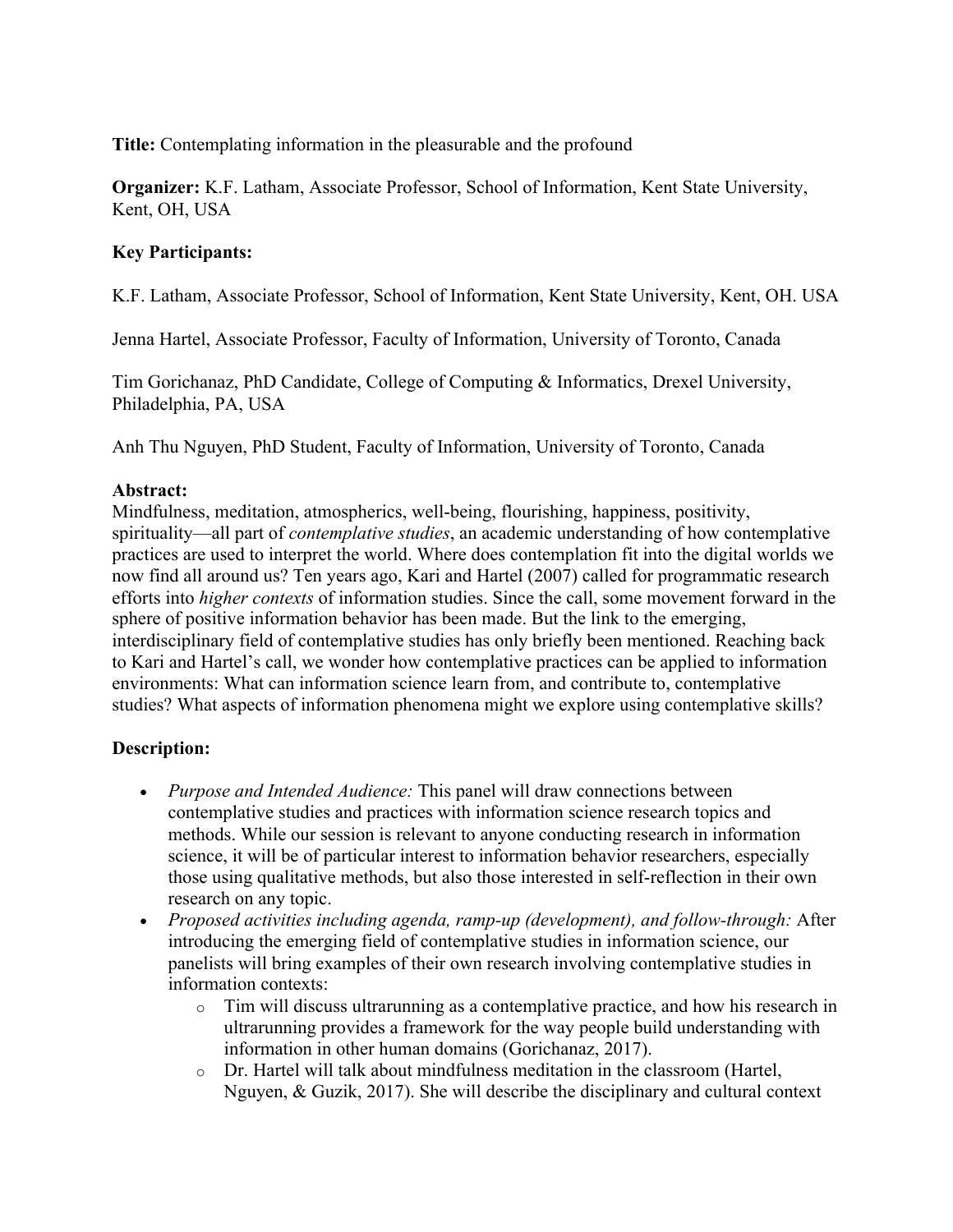**Title:** Contemplating information in the pleasurable and the profound

**Organizer:** K.F. Latham, Associate Professor, School of Information, Kent State University, Kent, OH, USA

## **Key Participants:**

K.F. Latham, Associate Professor, School of Information, Kent State University, Kent, OH. USA

Jenna Hartel, Associate Professor, Faculty of Information, University of Toronto, Canada

Tim Gorichanaz, PhD Candidate, College of Computing & Informatics, Drexel University, Philadelphia, PA, USA

Anh Thu Nguyen, PhD Student, Faculty of Information, University of Toronto, Canada

## **Abstract:**

Mindfulness, meditation, atmospherics, well-being, flourishing, happiness, positivity, spirituality—all part of *contemplative studies*, an academic understanding of how contemplative practices are used to interpret the world. Where does contemplation fit into the digital worlds we now find all around us? Ten years ago, Kari and Hartel (2007) called for programmatic research efforts into *higher contexts* of information studies. Since the call, some movement forward in the sphere of positive information behavior has been made. But the link to the emerging, interdisciplinary field of contemplative studies has only briefly been mentioned. Reaching back to Kari and Hartel's call, we wonder how contemplative practices can be applied to information environments: What can information science learn from, and contribute to, contemplative studies? What aspects of information phenomena might we explore using contemplative skills?

## **Description:**

- *Purpose and Intended Audience:* This panel will draw connections between contemplative studies and practices with information science research topics and methods. While our session is relevant to anyone conducting research in information science, it will be of particular interest to information behavior researchers, especially those using qualitative methods, but also those interested in self-reflection in their own research on any topic.
- *Proposed activities including agenda, ramp-up (development), and follow-through:* After introducing the emerging field of contemplative studies in information science, our panelists will bring examples of their own research involving contemplative studies in information contexts:
	- $\circ$  Tim will discuss ultrarunning as a contemplative practice, and how his research in ultrarunning provides a framework for the way people build understanding with information in other human domains (Gorichanaz, 2017).
	- o Dr. Hartel will talk about mindfulness meditation in the classroom (Hartel, Nguyen, & Guzik, 2017). She will describe the disciplinary and cultural context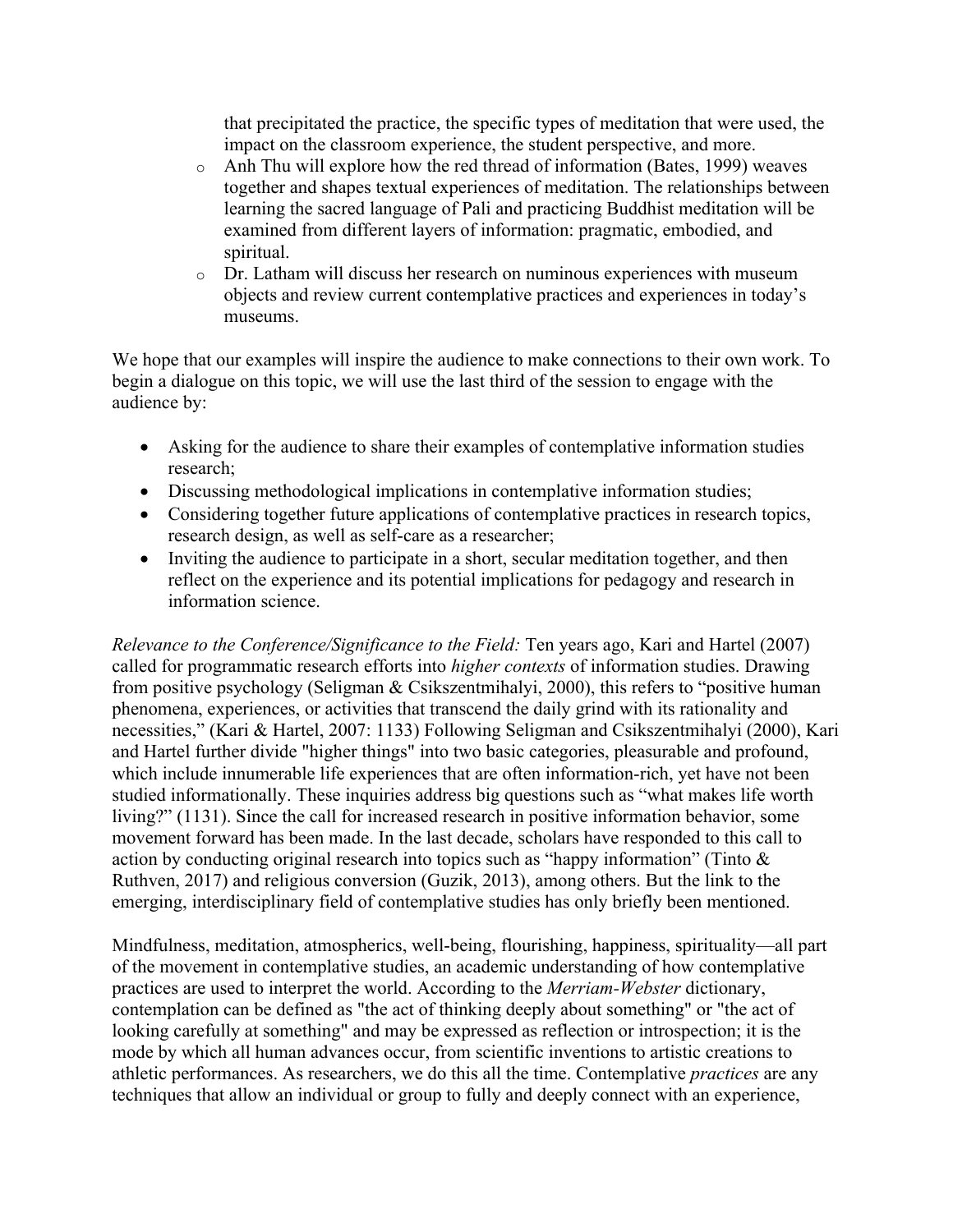that precipitated the practice, the specific types of meditation that were used, the impact on the classroom experience, the student perspective, and more.

- o Anh Thu will explore how the red thread of information (Bates, 1999) weaves together and shapes textual experiences of meditation. The relationships between learning the sacred language of Pali and practicing Buddhist meditation will be examined from different layers of information: pragmatic, embodied, and spiritual.
- o Dr. Latham will discuss her research on numinous experiences with museum objects and review current contemplative practices and experiences in today's museums.

We hope that our examples will inspire the audience to make connections to their own work. To begin a dialogue on this topic, we will use the last third of the session to engage with the audience by:

- Asking for the audience to share their examples of contemplative information studies research;
- Discussing methodological implications in contemplative information studies;
- Considering together future applications of contemplative practices in research topics, research design, as well as self-care as a researcher;
- Inviting the audience to participate in a short, secular meditation together, and then reflect on the experience and its potential implications for pedagogy and research in information science.

*Relevance to the Conference/Significance to the Field:* Ten years ago, Kari and Hartel (2007) called for programmatic research efforts into *higher contexts* of information studies. Drawing from positive psychology (Seligman & Csikszentmihalyi, 2000), this refers to "positive human phenomena, experiences, or activities that transcend the daily grind with its rationality and necessities," (Kari & Hartel, 2007: 1133) Following Seligman and Csikszentmihalyi (2000), Kari and Hartel further divide "higher things" into two basic categories, pleasurable and profound, which include innumerable life experiences that are often information-rich, yet have not been studied informationally. These inquiries address big questions such as "what makes life worth living?" (1131). Since the call for increased research in positive information behavior, some movement forward has been made. In the last decade, scholars have responded to this call to action by conducting original research into topics such as "happy information" (Tinto & Ruthven, 2017) and religious conversion (Guzik, 2013), among others. But the link to the emerging, interdisciplinary field of contemplative studies has only briefly been mentioned.

Mindfulness, meditation, atmospherics, well-being, flourishing, happiness, spirituality—all part of the movement in contemplative studies, an academic understanding of how contemplative practices are used to interpret the world. According to the *Merriam-Webster* dictionary, contemplation can be defined as "the act of thinking deeply about something" or "the act of looking carefully at something" and may be expressed as reflection or introspection; it is the mode by which all human advances occur, from scientific inventions to artistic creations to athletic performances. As researchers, we do this all the time. Contemplative *practices* are any techniques that allow an individual or group to fully and deeply connect with an experience,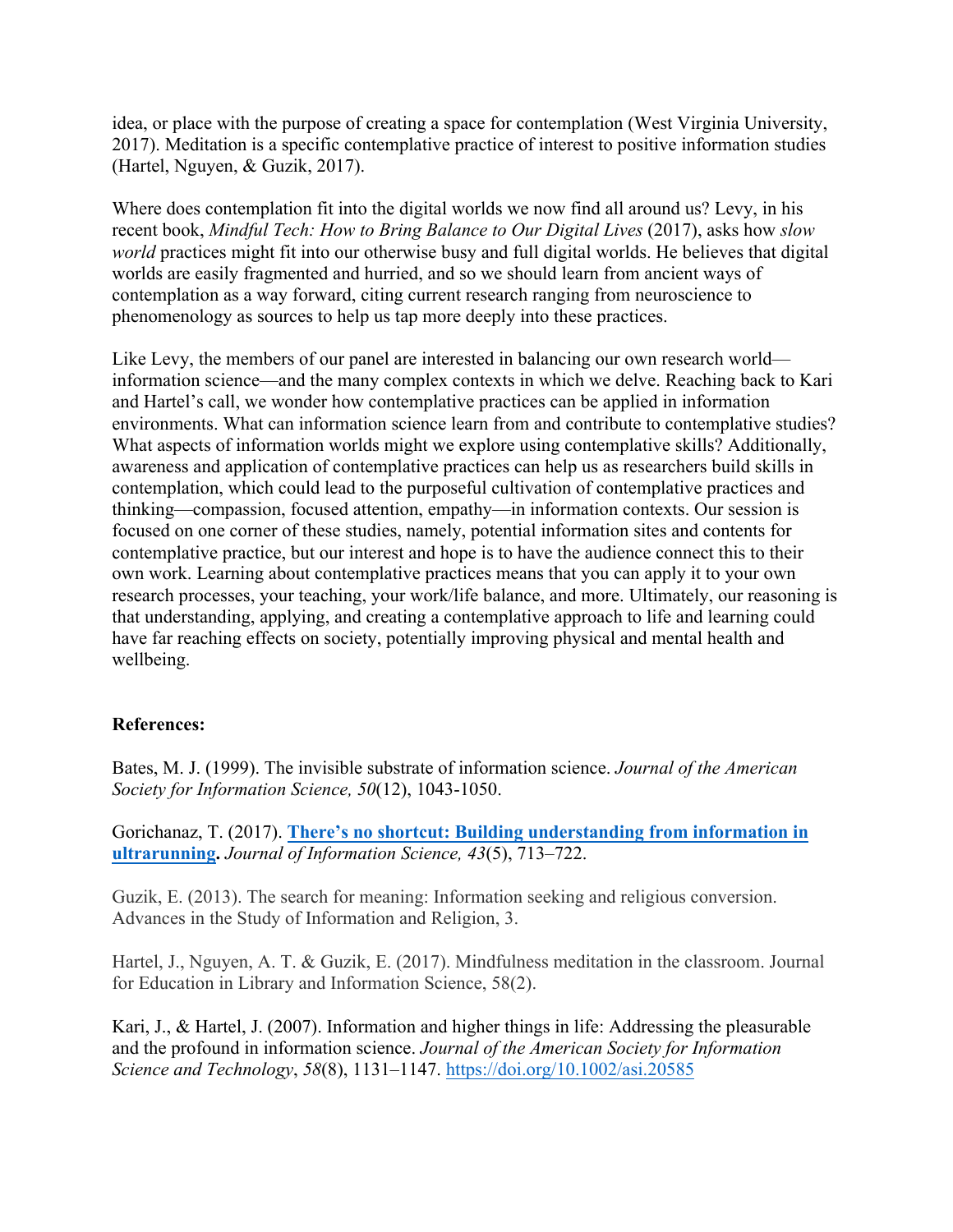idea, or place with the purpose of creating a space for contemplation (West Virginia University, 2017). Meditation is a specific contemplative practice of interest to positive information studies (Hartel, Nguyen, & Guzik, 2017).

Where does contemplation fit into the digital worlds we now find all around us? Levy, in his recent book, *Mindful Tech: How to Bring Balance to Our Digital Lives* (2017), asks how *slow world* practices might fit into our otherwise busy and full digital worlds. He believes that digital worlds are easily fragmented and hurried, and so we should learn from ancient ways of contemplation as a way forward, citing current research ranging from neuroscience to phenomenology as sources to help us tap more deeply into these practices.

Like Levy, the members of our panel are interested in balancing our own research world information science—and the many complex contexts in which we delve. Reaching back to Kari and Hartel's call, we wonder how contemplative practices can be applied in information environments. What can information science learn from and contribute to contemplative studies? What aspects of information worlds might we explore using contemplative skills? Additionally, awareness and application of contemplative practices can help us as researchers build skills in contemplation, which could lead to the purposeful cultivation of contemplative practices and thinking—compassion, focused attention, empathy—in information contexts. Our session is focused on one corner of these studies, namely, potential information sites and contents for contemplative practice, but our interest and hope is to have the audience connect this to their own work. Learning about contemplative practices means that you can apply it to your own research processes, your teaching, your work/life balance, and more. Ultimately, our reasoning is that understanding, applying, and creating a contemplative approach to life and learning could have far reaching effects on society, potentially improving physical and mental health and wellbeing.

## **References:**

Bates, M. J. (1999). The invisible substrate of information science. *Journal of the American Society for Information Science, 50*(12), 1043-1050.

Gorichanaz, T. (2017). **There's no shortcut: Building understanding from information in ultrarunning.** *Journal of Information Science, 43*(5), 713–722.

Guzik, E. (2013). The search for meaning: Information seeking and religious conversion. Advances in the Study of Information and Religion, 3.

Hartel, J., Nguyen, A. T. & Guzik, E. (2017). Mindfulness meditation in the classroom. Journal for Education in Library and Information Science, 58(2).

Kari, J., & Hartel, J. (2007). Information and higher things in life: Addressing the pleasurable and the profound in information science. *Journal of the American Society for Information Science and Technology*, *58*(8), 1131–1147. https://doi.org/10.1002/asi.20585